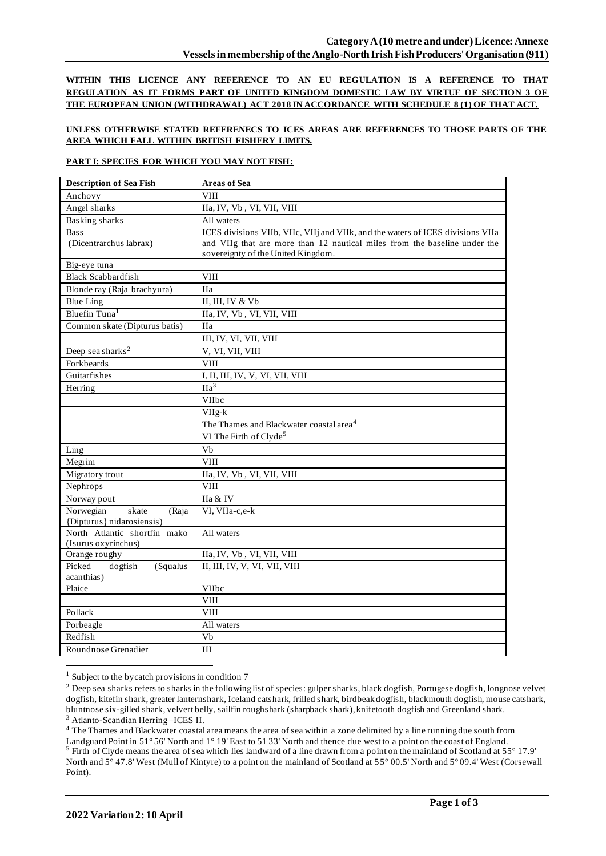**WITHIN THIS LICENCE ANY REFERENCE TO AN EU REGULATION IS A REFERENCE TO THAT REGULATION AS IT FORMS PART OF UNITED KINGDOM DOMESTIC LAW BY VIRTUE OF SECTION 3 OF THE EUROPEAN UNION (WITHDRAWAL) ACT 2018 IN ACCORDANCE WITH SCHEDULE 8 (1) OF THAT ACT.**

### **UNLESS OTHERWISE STATED REFERENECS TO ICES AREAS ARE REFERENCES TO THOSE PARTS OF THE AREA WHICH FALL WITHIN BRITISH FISHERY LIMITS.**

#### **PART I: SPECIES FOR WHICH YOU MAY NOT FISH:**

| <b>Description of Sea Fish</b>    | <b>Areas of Sea</b>                                                             |
|-----------------------------------|---------------------------------------------------------------------------------|
| Anchovy                           | <b>VIII</b>                                                                     |
| Angel sharks                      | IIa, IV, Vb, VI, VII, VIII                                                      |
| <b>Basking sharks</b>             | All waters                                                                      |
| <b>Bass</b>                       | ICES divisions VIIb, VIIc, VIIj and VIIk, and the waters of ICES divisions VIIa |
| (Dicentrarchus labrax)            | and VIIg that are more than 12 nautical miles from the baseline under the       |
|                                   | sovereignty of the United Kingdom.                                              |
| Big-eye tuna                      |                                                                                 |
| <b>Black Scabbardfish</b>         | <b>VIII</b>                                                                     |
| Blonde ray (Raja brachyura)       | <b>IIa</b>                                                                      |
| <b>Blue Ling</b>                  | II, III, IV & Vb                                                                |
| Bluefin Tuna <sup>1</sup>         | IIa, IV, Vb, VI, VII, VIII                                                      |
| Common skate (Dipturus batis)     | <b>IIa</b>                                                                      |
|                                   | III, IV, VI, VII, VIII                                                          |
| Deep sea sharks <sup>2</sup>      | V, VI, VII, VIII                                                                |
| Forkbeards                        | <b>VIII</b>                                                                     |
| Guitarfishes                      | I, II, III, IV, V, VI, VII, VIII                                                |
| Herring                           | IIa <sup>3</sup>                                                                |
|                                   | VIIbc                                                                           |
|                                   | $VIIg-k$                                                                        |
|                                   | The Thames and Blackwater coastal area <sup>4</sup>                             |
|                                   | VI The Firth of Clyde <sup>5</sup>                                              |
| Ling                              | Vb                                                                              |
| Megrim                            | <b>VIII</b>                                                                     |
| Migratory trout                   | IIa, IV, Vb, VI, VII, VIII                                                      |
| Nephrops                          | <b>VIII</b>                                                                     |
| Norway pout                       | IIa & IV                                                                        |
| Norwegian<br>skate<br>(Raja       | VI, VIIa-c,e-k                                                                  |
| {Dipturus} nidarosiensis)         |                                                                                 |
| North Atlantic shortfin mako      | All waters                                                                      |
| (Isurus oxyrinchus)               |                                                                                 |
| Orange roughy<br>Picked           | IIa, IV, Vb, VI, VII, VIII                                                      |
| dogfish<br>(Squalus<br>acanthias) | II, III, IV, V, VI, VII, VIII                                                   |
| Plaice                            | VIIbc                                                                           |
|                                   | <b>VIII</b>                                                                     |
| Pollack                           | <b>VIII</b>                                                                     |
| Porbeagle                         | All waters                                                                      |
| Redfish                           | Vb                                                                              |
| Roundnose Grenadier               | $\rm III$                                                                       |
|                                   |                                                                                 |

<sup>1</sup> Subject to the bycatch provisions in condition 7

<sup>3</sup> Atlanto-Scandian Herring –ICES II.

<sup>4</sup> The Thames and Blackwater coastal area means the area of sea within a zone delimited by a line running due south from Landguard Point in 51° 56' North and 1° 19' East to 51 33' North and thence due west to a point on the coast of England. <sup>5</sup> Firth of Clyde means the area of sea which lies landward of a line drawn from a point on the mainland of Scotland at 55° 17.9' North and 5° 47.8' West (Mull of Kintyre) to a point on the mainland of Scotland at 55° 00.5' North and 5° 09.4' West (Corsewall Point).

<sup>&</sup>lt;sup>2</sup> Deep sea sharks refers to sharks in the following list of species: gulper sharks, black dogfish, Portugese dogfish, longnose velvet dogfish, kitefin shark, greater lanternshark, Iceland catshark, frilled shark, birdbeak dogfish, blackmouth dogfish, mouse catshark, bluntnose six-gilled shark, velvert belly, sailfin roughshark (sharpback shark), knifetooth dogfish and Greenland shark.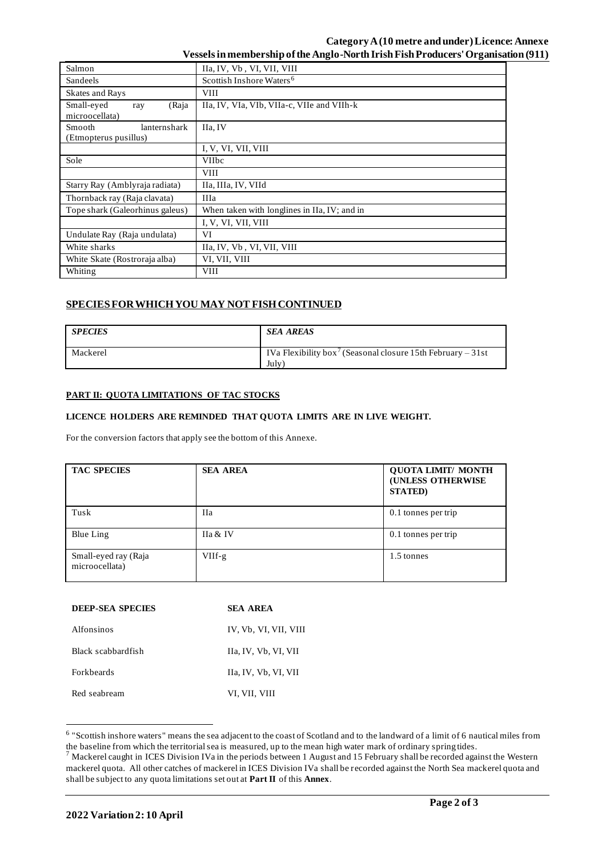## **Category A (10 metre and under)Licence: Annexe Vessels in membership of the Anglo-North Irish Fish Producers' Organisation (911)**

| Salmon                                          | IIa, IV, Vb, VI, VII, VIII                   |  |  |
|-------------------------------------------------|----------------------------------------------|--|--|
| Sandeels                                        | Scottish Inshore Waters <sup>6</sup>         |  |  |
| <b>Skates and Rays</b>                          | <b>VIII</b>                                  |  |  |
| Small-eyed<br>(Raja<br>ray<br>microocellata)    | IIa, IV, VIa, VIb, VIIa-c, VIIe and VIIh-k   |  |  |
| Smooth<br>lanternshark<br>(Etmopterus pusillus) | IIa, IV                                      |  |  |
|                                                 | I, V, VI, VII, VIII                          |  |  |
| Sole                                            | <b>VIIbc</b>                                 |  |  |
|                                                 | <b>VIII</b>                                  |  |  |
| Starry Ray (Amblyraja radiata)                  | IIa, IIIa, IV, VIId                          |  |  |
| Thornback ray (Raja clavata)                    | <b>IIIa</b>                                  |  |  |
| Tope shark (Galeorhinus galeus)                 | When taken with longlines in IIa, IV; and in |  |  |
|                                                 | I, V, VI, VII, VIII                          |  |  |
| Undulate Ray (Raja undulata)                    | VI                                           |  |  |
| White sharks                                    | IIa, IV, Vb, VI, VII, VIII                   |  |  |
| White Skate (Rostroraja alba)                   | VI, VII, VIII                                |  |  |
| Whiting                                         | <b>VIII</b>                                  |  |  |

# **SPECIES FOR WHICH YOU MAY NOT FISH CONTINUED**

| <b>SPECIES</b> | <b>SEA AREAS</b>                                                                |
|----------------|---------------------------------------------------------------------------------|
| Mackerel       | IVa Flexibility box <sup>7</sup> (Seasonal closure 15th February – 31st<br>July |

## **PART II: QUOTA LIMITATIONS OF TAC STOCKS**

### **LICENCE HOLDERS ARE REMINDED THAT QUOTA LIMITS ARE IN LIVE WEIGHT.**

For the conversion factors that apply see the bottom of this Annexe.

| <b>TAC SPECIES</b>                     | <b>SEA AREA</b> | <b>QUOTA LIMIT/ MONTH</b><br>(UNLESS OTHERWISE<br><b>STATED</b> ) |
|----------------------------------------|-----------------|-------------------------------------------------------------------|
| Tusk                                   | Пa              | 0.1 tonnes per trip                                               |
| Blue Ling                              | IIa & IV        | 0.1 tonnes per trip                                               |
| Small-eyed ray (Raja<br>microocellata) | $VIIf-g$        | 1.5 tonnes                                                        |

| <b>DEEP-SEA SPECIES</b> | <b>SEA AREA</b>       |  |  |
|-------------------------|-----------------------|--|--|
| Alfonsinos              | IV, Vb, VI, VII, VIII |  |  |
| Black scabbardfish      | IIa, IV, Vb, VI, VII  |  |  |
| <b>Forkbeards</b>       | IIa, IV, Vb, VI, VII  |  |  |
| Red seabream            | VI, VII, VIII         |  |  |

<sup>&</sup>lt;sup>6</sup> "Scottish inshore waters" means the sea adjacent to the coast of Scotland and to the landward of a limit of 6 nautical miles from the baseline from which the territorial sea is measured, up to the mean high water mark of ordinary spring tides.

 $^7$  Mackerel caught in ICES Division IVa in the periods between 1 August and 15 February shall be recorded against the Western mackerel quota. All other catches of mackerel in ICES Division IVa shall be recorded against the North Sea mackerel quota and shall be subject to any quota limitations set out at **Part II** of this **Annex**.